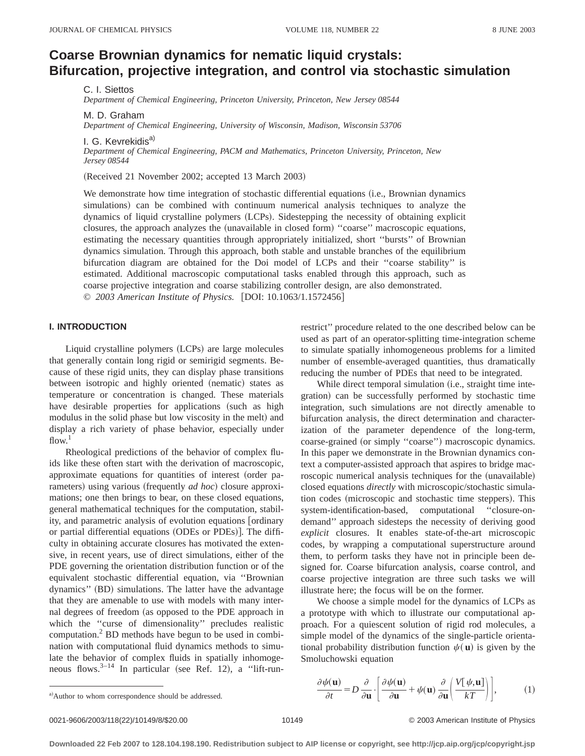# **Coarse Brownian dynamics for nematic liquid crystals: Bifurcation, projective integration, and control via stochastic simulation**

C. I. Siettos

*Department of Chemical Engineering, Princeton University, Princeton, New Jersey 08544*

M. D. Graham

*Department of Chemical Engineering, University of Wisconsin, Madison, Wisconsin 53706*

I. G. Kevrekidis<sup>a)</sup> *Department of Chemical Engineering, PACM and Mathematics, Princeton University, Princeton, New Jersey 08544*

(Received 21 November 2002; accepted 13 March 2003)

We demonstrate how time integration of stochastic differential equations (i.e., Brownian dynamics simulations) can be combined with continuum numerical analysis techniques to analyze the dynamics of liquid crystalline polymers (LCPs). Sidestepping the necessity of obtaining explicit closures, the approach analyzes the (unavailable in closed form) "coarse" macroscopic equations, estimating the necessary quantities through appropriately initialized, short ''bursts'' of Brownian dynamics simulation. Through this approach, both stable and unstable branches of the equilibrium bifurcation diagram are obtained for the Doi model of LCPs and their ''coarse stability'' is estimated. Additional macroscopic computational tasks enabled through this approach, such as coarse projective integration and coarse stabilizing controller design, are also demonstrated. © *2003 American Institute of Physics.* [DOI: 10.1063/1.1572456]

#### **I. INTRODUCTION**

Liquid crystalline polymers (LCPs) are large molecules that generally contain long rigid or semirigid segments. Because of these rigid units, they can display phase transitions between isotropic and highly oriented (nematic) states as temperature or concentration is changed. These materials have desirable properties for applications (such as high modulus in the solid phase but low viscosity in the melt) and display a rich variety of phase behavior, especially under  $flow.<sup>1</sup>$ 

Rheological predictions of the behavior of complex fluids like these often start with the derivation of macroscopic, approximate equations for quantities of interest (order parameters) using various (frequently *ad hoc*) closure approximations; one then brings to bear, on these closed equations, general mathematical techniques for the computation, stability, and parametric analysis of evolution equations [ordinary] or partial differential equations (ODEs or PDEs)]. The difficulty in obtaining accurate closures has motivated the extensive, in recent years, use of direct simulations, either of the PDE governing the orientation distribution function or of the equivalent stochastic differential equation, via ''Brownian dynamics" (BD) simulations. The latter have the advantage that they are amenable to use with models with many internal degrees of freedom (as opposed to the PDE approach in which the ''curse of dimensionality'' precludes realistic computation.2 BD methods have begun to be used in combination with computational fluid dynamics methods to simulate the behavior of complex fluids in spatially inhomogeneous flows. $3-14$  In particular (see Ref. 12), a "lift-runrestrict'' procedure related to the one described below can be used as part of an operator-splitting time-integration scheme to simulate spatially inhomogeneous problems for a limited number of ensemble-averaged quantities, thus dramatically reducing the number of PDEs that need to be integrated.

While direct temporal simulation (i.e., straight time integration) can be successfully performed by stochastic time integration, such simulations are not directly amenable to bifurcation analysis, the direct determination and characterization of the parameter dependence of the long-term, coarse-grained (or simply "coarse") macroscopic dynamics. In this paper we demonstrate in the Brownian dynamics context a computer-assisted approach that aspires to bridge macroscopic numerical analysis techniques for the (unavailable) closed equations *directly* with microscopic/stochastic simulation codes (microscopic and stochastic time steppers). This system-identification-based, computational ''closure-ondemand'' approach sidesteps the necessity of deriving good *explicit* closures. It enables state-of-the-art microscopic codes, by wrapping a computational superstructure around them, to perform tasks they have not in principle been designed for. Coarse bifurcation analysis, coarse control, and coarse projective integration are three such tasks we will illustrate here; the focus will be on the former.

We choose a simple model for the dynamics of LCPs as a prototype with which to illustrate our computational approach. For a quiescent solution of rigid rod molecules, a simple model of the dynamics of the single-particle orientational probability distribution function  $\psi(\mathbf{u})$  is given by the Smoluchowski equation

a)Author to whom correspondence should be addressed.

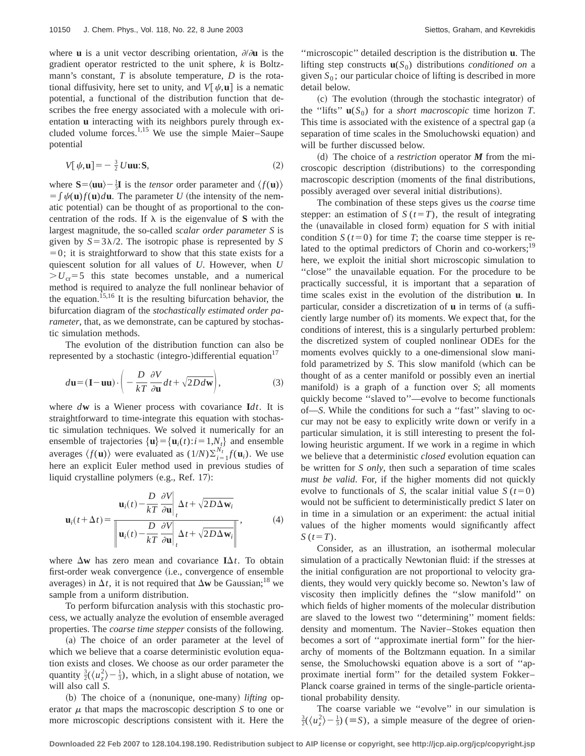where **u** is a unit vector describing orientation,  $\partial/\partial u$  is the gradient operator restricted to the unit sphere, *k* is Boltzmann's constant, *T* is absolute temperature, *D* is the rotational diffusivity, here set to unity, and  $V[\psi, \mathbf{u}]$  is a nematic potential, a functional of the distribution function that describes the free energy associated with a molecule with orientation **u** interacting with its neighbors purely through excluded volume forces.<sup>1,15</sup> We use the simple Maier–Saupe potential

$$
V[\psi, \mathbf{u}] = -\frac{3}{2} U \mathbf{u} \mathbf{u} \cdot \mathbf{S},\tag{2}
$$

where  $S = \langle \mathbf{u}\mathbf{u} \rangle - \frac{1}{3}\mathbf{I}$  is the *tensor* order parameter and  $\langle f(\mathbf{u}) \rangle$  $= \int \psi(\mathbf{u}) f(\mathbf{u}) d\mathbf{u}$ . The parameter *U* (the intensity of the nematic potential) can be thought of as proportional to the concentration of the rods. If  $\lambda$  is the eigenvalue of **S** with the largest magnitude, the so-called *scalar order parameter S* is given by  $S = 3\lambda/2$ . The isotropic phase is represented by *S*  $=0$ ; it is straightforward to show that this state exists for a quiescent solution for all values of *U*. However, when *U*  $>U_{cr}=5$  this state becomes unstable, and a numerical method is required to analyze the full nonlinear behavior of the equation.<sup>15,16</sup> It is the resulting bifurcation behavior, the bifurcation diagram of the *stochastically estimated order parameter*, that, as we demonstrate, can be captured by stochastic simulation methods.

The evolution of the distribution function can also be represented by a stochastic (integro-)differential equation<sup>17</sup>

$$
d\mathbf{u} = (\mathbf{I} - \mathbf{u}\mathbf{u}) \cdot \left( -\frac{D}{kT} \frac{\partial V}{\partial \mathbf{u}} dt + \sqrt{2D} d\mathbf{w} \right),\tag{3}
$$

where *d***w** is a Wiener process with covariance **I***dt*. It is straightforward to time-integrate this equation with stochastic simulation techniques. We solved it numerically for an ensemble of trajectories  $\{u\} = \{u_i(t): i = 1, N_t\}$  and ensemble averages  $\langle f(\mathbf{u}) \rangle$  were evaluated as  $(1/N)\sum_{i=1}^{N_t}f(\mathbf{u}_i)$ . We use here an explicit Euler method used in previous studies of liquid crystalline polymers  $(e.g., Ref. 17):$ 

$$
\mathbf{u}_{i}(t+\Delta t) = \frac{\mathbf{u}_{i}(t) - \frac{D}{kT} \frac{\partial V}{\partial \mathbf{u}}}{\left\| \mathbf{u}_{i}(t) - \frac{D}{kT} \frac{\partial V}{\partial \mathbf{u}} \right\|_{t} \Delta t + \sqrt{2D\Delta \mathbf{w}_{i}}},
$$
(4)

where  $\Delta w$  has zero mean and covariance  $I\Delta t$ . To obtain first-order weak convergence (i.e., convergence of ensemble averages) in  $\Delta t$ , it is not required that  $\Delta w$  be Gaussian;<sup>18</sup> we sample from a uniform distribution.

To perform bifurcation analysis with this stochastic process, we actually analyze the evolution of ensemble averaged properties. The *coarse time stepper* consists of the following.

(a) The choice of an order parameter at the level of which we believe that a coarse deterministic evolution equation exists and closes. We choose as our order parameter the quantity  $\frac{3}{2}(\langle u_z^2 \rangle - \frac{1}{3})$ , which, in a slight abuse of notation, we will also call *S*.

(b) The choice of a (nonunique, one-many) *lifting* operator  $\mu$  that maps the macroscopic description *S* to one or more microscopic descriptions consistent with it. Here the

''microscopic'' detailed description is the distribution **u**. The lifting step constructs  $\mathbf{u}(S_0)$  distributions *conditioned on* a given  $S_0$ ; our particular choice of lifting is described in more detail below.

(c) The evolution (through the stochastic integrator) of the "lifts"  $\mathbf{u}(S_0)$  for a *short macroscopic* time horizon *T*. This time is associated with the existence of a spectral gap (a separation of time scales in the Smoluchowski equation) and will be further discussed below.

(d) The choice of a *restriction* operator M from the microscopic description (distributions) to the corresponding macroscopic description (moments of the final distributions, possibly averaged over several initial distributions).

The combination of these steps gives us the *coarse* time stepper: an estimation of  $S(t=T)$ , the result of integrating the (unavailable in closed form) equation for  $S$  with initial condition  $S(t=0)$  for time *T*; the coarse time stepper is related to the optimal predictors of Chorin and co-workers;<sup>19</sup> here, we exploit the initial short microscopic simulation to ''close'' the unavailable equation. For the procedure to be practically successful, it is important that a separation of time scales exist in the evolution of the distribution **u**. In particular, consider a discretization of **u** in terms of (a sufficiently large number of) its moments. We expect that, for the conditions of interest, this is a singularly perturbed problem: the discretized system of coupled nonlinear ODEs for the moments evolves quickly to a one-dimensional slow manifold parametrized by *S*. This slow manifold (which can be thought of as a center manifold or possibly even an inertial manifold) is a graph of a function over *S*; all moments quickly become "slaved to"—evolve to become functionals of—*S*. While the conditions for such a ''fast'' slaving to occur may not be easy to explicitly write down or verify in a particular simulation, it is still interesting to present the following heuristic argument. If we work in a regime in which we believe that a deterministic *closed* evolution equation can be written for *S only*, then such a separation of time scales *must be valid*. For, if the higher moments did not quickly evolve to functionals of *S*, the scalar initial value  $S(t=0)$ would not be sufficient to deterministically predict *S* later on in time in a simulation or an experiment: the actual initial values of the higher moments would significantly affect  $S(t=T)$ .

Consider, as an illustration, an isothermal molecular simulation of a practically Newtonian fluid: if the stresses at the initial configuration are not proportional to velocity gradients, they would very quickly become so. Newton's law of viscosity then implicitly defines the ''slow manifold'' on which fields of higher moments of the molecular distribution are slaved to the lowest two ''determining'' moment fields: density and momentum. The Navier–Stokes equation then becomes a sort of ''approximate inertial form'' for the hierarchy of moments of the Boltzmann equation. In a similar sense, the Smoluchowski equation above is a sort of ''approximate inertial form'' for the detailed system Fokker– Planck coarse grained in terms of the single-particle orientational probability density.

The coarse variable we ''evolve'' in our simulation is  $\frac{3}{2}(\langle u_z^2 \rangle - \frac{1}{3})$  ( $\equiv$  S), a simple measure of the degree of orien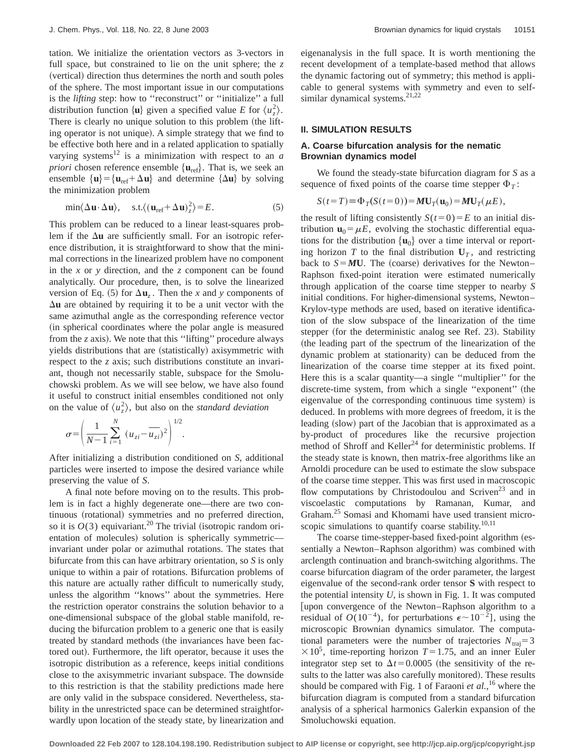tation. We initialize the orientation vectors as 3-vectors in full space, but constrained to lie on the unit sphere; the *z* (vertical) direction thus determines the north and south poles of the sphere. The most important issue in our computations is the *lifting* step: how to ''reconstruct'' or ''initialize'' a full distribution function  $\{u\}$  given a specified value *E* for  $\langle u_z^2 \rangle$ . There is clearly no unique solution to this problem (the lifting operator is not unique). A simple strategy that we find to be effective both here and in a related application to spatially varying systems<sup>12</sup> is a minimization with respect to an  $a$ *priori* chosen reference ensemble  $\{u_{ref}\}\$ . That is, we seek an ensemble  $\{u\} = \{u_{ref} + \Delta u\}$  and determine  $\{\Delta u\}$  by solving the minimization problem

$$
\min\langle \Delta \mathbf{u} \cdot \Delta \mathbf{u} \rangle, \quad \text{s.t.} \langle (\mathbf{u}_{\text{ref}} + \Delta \mathbf{u})_z^2 \rangle = E. \tag{5}
$$

This problem can be reduced to a linear least-squares problem if the  $\Delta$ **u** are sufficiently small. For an isotropic reference distribution, it is straightforward to show that the minimal corrections in the linearized problem have no component in the *x* or *y* direction, and the *z* component can be found analytically. Our procedure, then, is to solve the linearized version of Eq. (5) for  $\Delta u$ <sub>z</sub>. Then the *x* and *y* components of  $\Delta$ **u** are obtained by requiring it to be a unit vector with the same azimuthal angle as the corresponding reference vector (in spherical coordinates where the polar angle is measured from the *z* axis). We note that this "lifting" procedure always yields distributions that are (statistically) axisymmetric with respect to the *z* axis; such distributions constitute an invariant, though not necessarily stable, subspace for the Smoluchowski problem. As we will see below, we have also found it useful to construct initial ensembles conditioned not only on the value of  $\langle u_z^2 \rangle$ , but also on the *standard deviation* 

$$
\sigma = \left(\frac{1}{N-1}\sum_{i=1}^{N} (u_{zi} - \overline{u_{zi}})^2\right)^{1/2}.
$$

After initializing a distribution conditioned on *S*, additional particles were inserted to impose the desired variance while preserving the value of *S*.

A final note before moving on to the results. This problem is in fact a highly degenerate one—there are two continuous (rotational) symmetries and no preferred direction, so it is  $O(3)$  equivariant.<sup>20</sup> The trivial (isotropic random orientation of molecules) solution is spherically symmetric invariant under polar or azimuthal rotations. The states that bifurcate from this can have arbitrary orientation, so *S* is only unique to within a pair of rotations. Bifurcation problems of this nature are actually rather difficult to numerically study, unless the algorithm ''knows'' about the symmetries. Here the restriction operator constrains the solution behavior to a one-dimensional subspace of the global stable manifold, reducing the bifurcation problem to a generic one that is easily treated by standard methods (the invariances have been factored out). Furthermore, the lift operator, because it uses the isotropic distribution as a reference, keeps initial conditions close to the axisymmetric invariant subspace. The downside to this restriction is that the stability predictions made here are only valid in the subspace considered. Nevertheless, stability in the unrestricted space can be determined straightforwardly upon location of the steady state, by linearization and eigenanalysis in the full space. It is worth mentioning the recent development of a template-based method that allows the dynamic factoring out of symmetry; this method is applicable to general systems with symmetry and even to selfsimilar dynamical systems. $21,22$ 

### **II. SIMULATION RESULTS**

## **A. Coarse bifurcation analysis for the nematic Brownian dynamics model**

We found the steady-state bifurcation diagram for *S* as a sequence of fixed points of the coarse time stepper  $\Phi_T$ :

$$
S(t=T) \equiv \Phi_T(S(t=0)) = \boldsymbol{M} \mathbf{U}_T(\mathbf{u}_0) = \boldsymbol{M} \mathbf{U}_T(\boldsymbol{\mu} E),
$$

the result of lifting consistently  $S(t=0)=E$  to an initial distribution  $\mathbf{u}_0 = \mu E$ , evolving the stochastic differential equations for the distribution  $\{u_0\}$  over a time interval or reporting horizon *T* to the final distribution  $U_T$ , and restricting back to  $S = MU$ . The (coarse) derivatives for the Newton– Raphson fixed-point iteration were estimated numerically through application of the coarse time stepper to nearby *S* initial conditions. For higher-dimensional systems, Newton– Krylov-type methods are used, based on iterative identification of the slow subspace of the linearization of the time stepper (for the deterministic analog see Ref. 23). Stability (the leading part of the spectrum of the linearization of the dynamic problem at stationarity) can be deduced from the linearization of the coarse time stepper at its fixed point. Here this is a scalar quantity—a single ''multiplier'' for the discrete-time system, from which a single "exponent" (the eigenvalue of the corresponding continuous time system) is deduced. In problems with more degrees of freedom, it is the leading (slow) part of the Jacobian that is approximated as a by-product of procedures like the recursive projection method of Shroff and Keller<sup>24</sup> for deterministic problems. If the steady state is known, then matrix-free algorithms like an Arnoldi procedure can be used to estimate the slow subspace of the coarse time stepper. This was first used in macroscopic flow computations by Christodoulou and Scriven<sup>23</sup> and in viscoelastic computations by Ramanan, Kumar, and Graham.25 Somasi and Khomami have used transient microscopic simulations to quantify coarse stability. $10,11$ 

The coarse time-stepper-based fixed-point algorithm (essentially a Newton–Raphson algorithm) was combined with arclength continuation and branch-switching algorithms. The coarse bifurcation diagram of the order parameter, the largest eigenvalue of the second-rank order tensor **S** with respect to the potential intensity  $U$ , is shown in Fig. 1. It was computed [upon convergence of the Newton–Raphson algorithm to a residual of  $O(10^{-4})$ , for perturbations  $\epsilon \sim 10^{-2}$ ], using the microscopic Brownian dynamics simulator. The computational parameters were the number of trajectories  $N_{\text{trai}}=3$  $\times 10^5$ , time-reporting horizon *T*=1.75, and an inner Euler integrator step set to  $\Delta t$ =0.0005 (the sensitivity of the results to the latter was also carefully monitored). These results should be compared with Fig. 1 of Faraoni *et al.*, <sup>16</sup> where the bifurcation diagram is computed from a standard bifurcation analysis of a spherical harmonics Galerkin expansion of the Smoluchowski equation.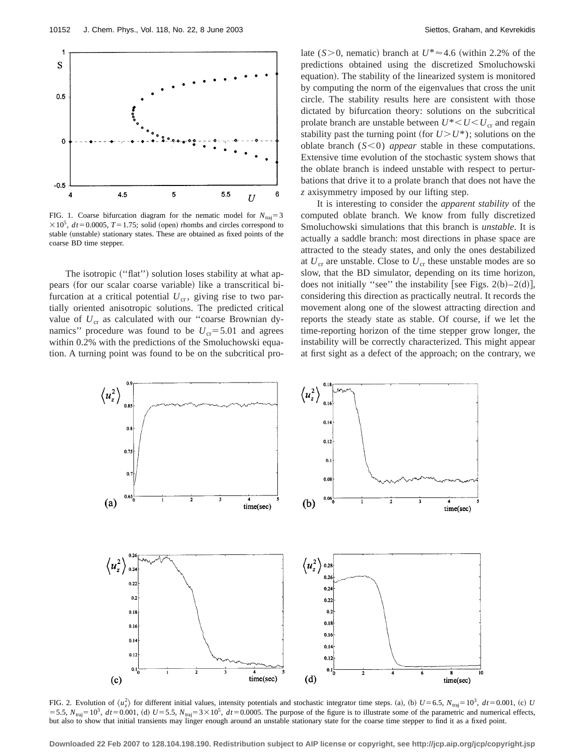

FIG. 1. Coarse bifurcation diagram for the nematic model for  $N_{\text{trai}}=3$  $\times 10^5$ ,  $dt = 0.0005$ ,  $T = 1.75$ ; solid (open) rhombs and circles correspond to stable (unstable) stationary states. These are obtained as fixed points of the coarse BD time stepper.

The isotropic ("flat") solution loses stability at what appears (for our scalar coarse variable) like a transcritical bifurcation at a critical potential  $U_{cr}$ , giving rise to two partially oriented anisotropic solutions. The predicted critical value of  $U_{cr}$  as calculated with our "coarse Brownian dynamics" procedure was found to be  $U_{cr}$ =5.01 and agrees within 0.2% with the predictions of the Smoluchowski equation. A turning point was found to be on the subcritical prolate ( $S > 0$ , nematic) branch at  $U^* \approx 4.6$  (within 2.2% of the predictions obtained using the discretized Smoluchowski equation). The stability of the linearized system is monitored by computing the norm of the eigenvalues that cross the unit circle. The stability results here are consistent with those dictated by bifurcation theory: solutions on the subcritical prolate branch are unstable between  $U^*$   $\lt U \lt U_{cr}$  and regain stability past the turning point (for  $U > U^*$ ); solutions on the oblate branch  $(S<0)$  *appear* stable in these computations. Extensive time evolution of the stochastic system shows that the oblate branch is indeed unstable with respect to perturbations that drive it to a prolate branch that does not have the *z* axisymmetry imposed by our lifting step.

It is interesting to consider the *apparent stability* of the computed oblate branch. We know from fully discretized Smoluchowski simulations that this branch is *unstable*. It is actually a saddle branch: most directions in phase space are attracted to the steady states, and only the ones destabilized at  $U_{cr}$  are unstable. Close to  $U_{cr}$  these unstable modes are so slow, that the BD simulator, depending on its time horizon, does not initially "see" the instability [see Figs. 2(b)–2(d)], considering this direction as practically neutral. It records the movement along one of the slowest attracting direction and reports the steady state as stable. Of course, if we let the time-reporting horizon of the time stepper grow longer, the instability will be correctly characterized. This might appear at first sight as a defect of the approach; on the contrary, we



FIG. 2. Evolution of  $\langle u_z^2 \rangle$  for different initial values, intensity potentials and stochastic integrator time steps. (a), (b)  $U=6.5$ ,  $N_{\text{traj}}=10^3$ ,  $dt=0.001$ , (c) U  $555$ ,  $N_{\text{traj}}=10^3$ ,  $dt=0.001$ , (d)  $U=5.5$ ,  $N_{\text{traj}}=3\times10^5$ ,  $dt=0.0005$ . The purpose of the figure is to illustrate some of the parametric and numerical effects, but also to show that initial transients may linger enough around an unstable stationary state for the coarse time stepper to find it as a fixed point.

**Downloaded 22 Feb 2007 to 128.104.198.190. Redistribution subject to AIP license or copyright, see http://jcp.aip.org/jcp/copyright.jsp**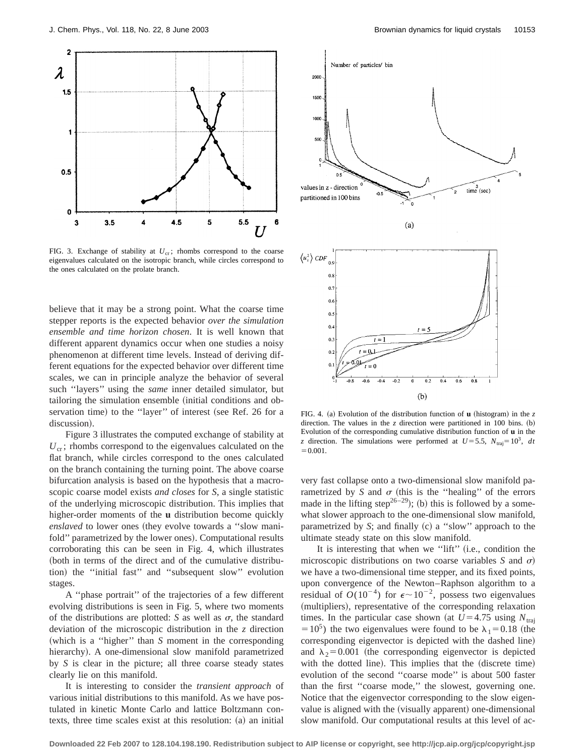

FIG. 3. Exchange of stability at  $U_{cr}$ ; rhombs correspond to the coarse eigenvalues calculated on the isotropic branch, while circles correspond to the ones calculated on the prolate branch.

believe that it may be a strong point. What the coarse time stepper reports is the expected behavior *over the simulation ensemble and time horizon chosen*. It is well known that different apparent dynamics occur when one studies a noisy phenomenon at different time levels. Instead of deriving different equations for the expected behavior over different time scales, we can in principle analyze the behavior of several such ''layers'' using the *same* inner detailed simulator, but tailoring the simulation ensemble (initial conditions and observation time) to the "layer" of interest (see Ref. 26 for a discussion).

Figure 3 illustrates the computed exchange of stability at  $U_{\rm cr}$ ; rhombs correspond to the eigenvalues calculated on the flat branch, while circles correspond to the ones calculated on the branch containing the turning point. The above coarse bifurcation analysis is based on the hypothesis that a macroscopic coarse model exists *and closes* for *S*, a single statistic of the underlying microscopic distribution. This implies that higher-order moments of the **u** distribution become quickly *enslaved* to lower ones (they evolve towards a "slow manifold" parametrized by the lower ones). Computational results corroborating this can be seen in Fig. 4, which illustrates (both in terms of the direct and of the cumulative distribution) the "initial fast" and "subsequent slow" evolution stages.

A ''phase portrait'' of the trajectories of a few different evolving distributions is seen in Fig. 5, where two moments of the distributions are plotted: *S* as well as  $\sigma$ , the standard deviation of the microscopic distribution in the *z* direction (which is a "higher" than *S* moment in the corresponding hierarchy). A one-dimensional slow manifold parametrized by *S* is clear in the picture; all three coarse steady states clearly lie on this manifold.

It is interesting to consider the *transient approach* of various initial distributions to this manifold. As we have postulated in kinetic Monte Carlo and lattice Boltzmann contexts, three time scales exist at this resolution:  $(a)$  an initial



FIG. 4. (a) Evolution of the distribution function of **u** (histogram) in the  $z$ direction. The values in the  $z$  direction were partitioned in 100 bins.  $(b)$ Evolution of the corresponding cumulative distribution function of **u** in the *z* direction. The simulations were performed at  $U=5.5$ ,  $N_{\text{traj}}=10^3$ , *dt*  $=0.001.$ 

very fast collapse onto a two-dimensional slow manifold parametrized by *S* and  $\sigma$  (this is the "healing" of the errors made in the lifting step<sup>26–29</sup>); (b) this is followed by a somewhat slower approach to the one-dimensional slow manifold, parametrized by *S*; and finally (c) a "slow" approach to the ultimate steady state on this slow manifold.

It is interesting that when we "lift"  $(i.e., condition the$ microscopic distributions on two coarse variables *S* and  $\sigma$ ) we have a two-dimensional time stepper, and its fixed points, upon convergence of the Newton–Raphson algorithm to a residual of  $O(10^{-4})$  for  $\epsilon \sim 10^{-2}$ , possess two eigenvalues (multipliers), representative of the corresponding relaxation times. In the particular case shown (at  $U=4.75$  using  $N_{\text{traj}}$ =10<sup>5</sup>) the two eigenvalues were found to be  $\lambda_1$ =0.18 (the corresponding eigenvector is depicted with the dashed line) and  $\lambda_2$ =0.001 (the corresponding eigenvector is depicted with the dotted line). This implies that the (discrete time) evolution of the second ''coarse mode'' is about 500 faster than the first ''coarse mode,'' the slowest, governing one. Notice that the eigenvector corresponding to the slow eigenvalue is aligned with the (visually apparent) one-dimensional slow manifold. Our computational results at this level of ac-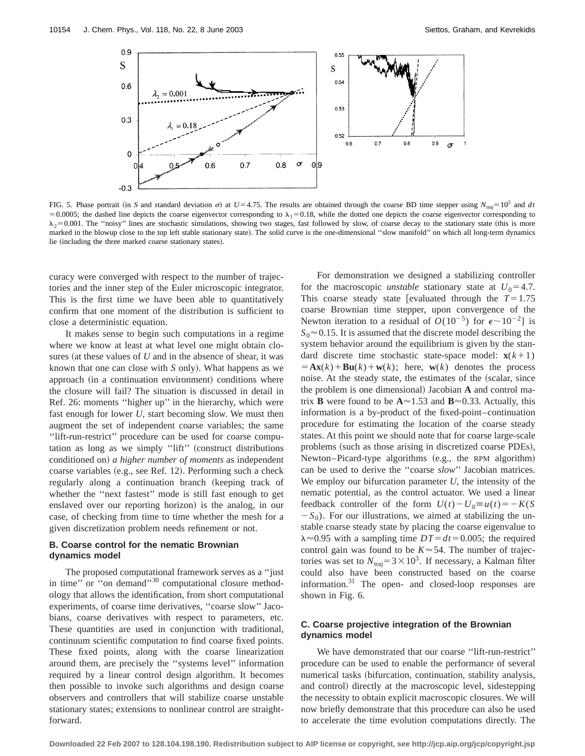

FIG. 5. Phase portrait (in *S* and standard deviation  $\sigma$ ) at  $U=4.75$ . The results are obtained through the coarse BD time stepper using  $N_{\text{traj}}=10^5$  and *dt*  $=0.0005$ ; the dashed line depicts the coarse eigenvector corresponding to  $\lambda_1=0.18$ , while the dotted one depicts the coarse eigenvector corresponding to  $\lambda_2$ =0.001. The "noisy" lines are stochastic simulations, showing two stages, fast followed by slow, of coarse decay to the stationary state (this is more marked in the blowup close to the top left stable stationary state). The solid curve is the one-dimensional "slow manifold" on which all long-term dynamics lie (including the three marked coarse stationary states).

curacy were converged with respect to the number of trajectories and the inner step of the Euler microscopic integrator. This is the first time we have been able to quantitatively confirm that one moment of the distribution is sufficient to close a deterministic equation.

It makes sense to begin such computations in a regime where we know at least at what level one might obtain closures (at these values of  $U$  and in the absence of shear, it was known that one can close with *S* only). What happens as we approach (in a continuation environment) conditions where the closure will fail? The situation is discussed in detail in Ref. 26: moments ''higher up'' in the hierarchy, which were fast enough for lower *U*, start becoming slow. We must then augment the set of independent coarse variables; the same ''lift-run-restrict'' procedure can be used for coarse computation as long as we simply "lift" (construct distributions conditioned on) *a higher number of moments* as independent coarse variables (e.g., see Ref. 12). Performing such a check regularly along a continuation branch (keeping track of whether the ''next fastest'' mode is still fast enough to get enslaved over our reporting horizon) is the analog, in our case, of checking from time to time whether the mesh for a given discretization problem needs refinement or not.

## **B. Coarse control for the nematic Brownian dynamics model**

The proposed computational framework serves as a ''just in time" or "on demand"<sup>30</sup> computational closure methodology that allows the identification, from short computational experiments, of coarse time derivatives, ''coarse slow'' Jacobians, coarse derivatives with respect to parameters, etc. These quantities are used in conjunction with traditional, continuum scientific computation to find coarse fixed points. These fixed points, along with the coarse linearization around them, are precisely the ''systems level'' information required by a linear control design algorithm. It becomes then possible to invoke such algorithms and design coarse observers and controllers that will stabilize coarse unstable stationary states; extensions to nonlinear control are straightforward.

For demonstration we designed a stabilizing controller for the macroscopic *unstable* stationary state at  $U_0 = 4.7$ . This coarse steady state [evaluated through the  $T=1.75$ coarse Brownian time stepper, upon convergence of the Newton iteration to a residual of  $O(10^{-5})$  for  $\epsilon \sim 10^{-2}$ ] is  $S_0 \approx 0.15$ . It is assumed that the discrete model describing the system behavior around the equilibrium is given by the standard discrete time stochastic state-space model:  $\mathbf{x}(k+1)$  $= Ax(k) + Bu(k) + w(k);$  here,  $w(k)$  denotes the process noise. At the steady state, the estimates of the (scalar, since the problem is one dimensional) Jacobian **A** and control matrix **B** were found to be  $A \approx 1.53$  and  $B \approx 0.33$ . Actually, this information is a by-product of the fixed-point–continuation procedure for estimating the location of the coarse steady states. At this point we should note that for coarse large-scale problems (such as those arising in discretized coarse PDEs), Newton–Picard-type algorithms (e.g., the RPM algorithm) can be used to derive the ''coarse *slow*'' Jacobian matrices. We employ our bifurcation parameter *U*, the intensity of the nematic potential, as the control actuator. We used a linear feedback controller of the form  $U(t) - U_0 \equiv u(t) = -K(S)$  $-S_0$ ). For our illustrations, we aimed at stabilizing the unstable coarse steady state by placing the coarse eigenvalue to  $\lambda \approx 0.95$  with a sampling time  $DT = dt = 0.005$ ; the required control gain was found to be  $K \approx 54$ . The number of trajectories was set to  $N_{\text{traj}}=3\times10^3$ . If necessary, a Kalman filter could also have been constructed based on the coarse information. $31$  The open- and closed-loop responses are shown in Fig. 6.

## **C. Coarse projective integration of the Brownian dynamics model**

We have demonstrated that our coarse ''lift-run-restrict'' procedure can be used to enable the performance of several numerical tasks (bifurcation, continuation, stability analysis, and control) directly at the macroscopic level, sidestepping the necessity to obtain explicit macroscopic closures. We will now briefly demonstrate that this procedure can also be used to accelerate the time evolution computations directly. The

**Downloaded 22 Feb 2007 to 128.104.198.190. Redistribution subject to AIP license or copyright, see http://jcp.aip.org/jcp/copyright.jsp**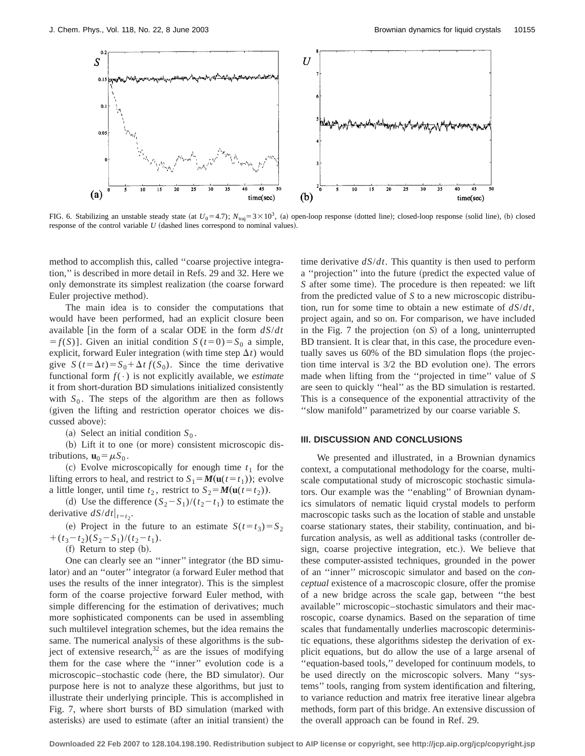

FIG. 6. Stabilizing an unstable steady state (at  $U_0$ =4.7);  $N_{\text{traj}}=3\times10^3$ , (a) open-loop response (dotted line); closed-loop response (solid line), (b) closed response of the control variable  $U$  (dashed lines correspond to nominal values).

method to accomplish this, called ''coarse projective integration,'' is described in more detail in Refs. 29 and 32. Here we only demonstrate its simplest realization (the coarse forward Euler projective method).

The main idea is to consider the computations that would have been performed, had an explicit closure been available [in the form of a scalar ODE in the form  $dS/dt$  $f(S)$ ]. Given an initial condition *S* (*t*=0)= *S*<sub>0</sub> a simple, explicit, forward Euler integration (with time step  $\Delta t$ ) would give  $S(t = \Delta t) = S_0 + \Delta t f(S_0)$ . Since the time derivative functional form  $f(\cdot)$  is not explicitly available, we *estimate* it from short-duration BD simulations initialized consistently with  $S_0$ . The steps of the algorithm are then as follows (given the lifting and restriction operator choices we discussed above):

(a) Select an initial condition  $S_0$ .

 $(b)$  Lift it to one (or more) consistent microscopic distributions,  $\mathbf{u}_0 = \mu S_0$ .

(c) Evolve microscopically for enough time  $t_1$  for the lifting errors to heal, and restrict to  $S_1 = M(\mathbf{u}(t=t_1))$ ; evolve a little longer, until time  $t_2$ , restrict to  $S_2 = M(\mathbf{u}(t=t_2)).$ 

(d) Use the difference  $(S_2 - S_1)/(t_2 - t_1)$  to estimate the derivative  $dS/dt|_{t=t_2}$ .

(e) Project in the future to an estimate  $S(t=t_3)=S_2$  $+(t_3-t_2)(S_2-S_1)/(t_2-t_1).$ 

 $(f)$  Return to step  $(b)$ .

One can clearly see an "inner" integrator (the BD simulator) and an "outer" integrator (a forward Euler method that uses the results of the inner integrator). This is the simplest form of the coarse projective forward Euler method, with simple differencing for the estimation of derivatives; much more sophisticated components can be used in assembling such multilevel integration schemes, but the idea remains the same. The numerical analysis of these algorithms is the subject of extensive research, $32$  as are the issues of modifying them for the case where the ''inner'' evolution code is a microscopic–stochastic code (here, the BD simulator). Our purpose here is not to analyze these algorithms, but just to illustrate their underlying principle. This is accomplished in Fig. 7, where short bursts of BD simulation (marked with asterisks) are used to estimate (after an initial transient) the time derivative *dS*/*dt*. This quantity is then used to perform a "projection" into the future (predict the expected value of *S* after some time). The procedure is then repeated: we lift from the predicted value of *S* to a new microscopic distribution, run for some time to obtain a new estimate of *dS*/*dt*, project again, and so on. For comparison, we have included in the Fig.  $7$  the projection (on  $S$ ) of a long, uninterrupted BD transient. It is clear that, in this case, the procedure eventually saves us  $60\%$  of the BD simulation flops (the projection time interval is  $3/2$  the BD evolution one). The errors made when lifting from the ''projected in time'' value of *S* are seen to quickly ''heal'' as the BD simulation is restarted. This is a consequence of the exponential attractivity of the ''slow manifold'' parametrized by our coarse variable *S*.

#### **III. DISCUSSION AND CONCLUSIONS**

We presented and illustrated, in a Brownian dynamics context, a computational methodology for the coarse, multiscale computational study of microscopic stochastic simulators. Our example was the ''enabling'' of Brownian dynamics simulators of nematic liquid crystal models to perform macroscopic tasks such as the location of stable and unstable coarse stationary states, their stability, continuation, and bifurcation analysis, as well as additional tasks (controller design, coarse projective integration, etc.). We believe that these computer-assisted techniques, grounded in the power of an ''inner'' microscopic simulator and based on the *conceptual* existence of a macroscopic closure, offer the promise of a new bridge across the scale gap, between ''the best available'' microscopic–stochastic simulators and their macroscopic, coarse dynamics. Based on the separation of time scales that fundamentally underlies macroscopic deterministic equations, these algorithms sidestep the derivation of explicit equations, but do allow the use of a large arsenal of ''equation-based tools,'' developed for continuum models, to be used directly on the microscopic solvers. Many ''systems'' tools, ranging from system identification and filtering, to variance reduction and matrix free iterative linear algebra methods, form part of this bridge. An extensive discussion of the overall approach can be found in Ref. 29.